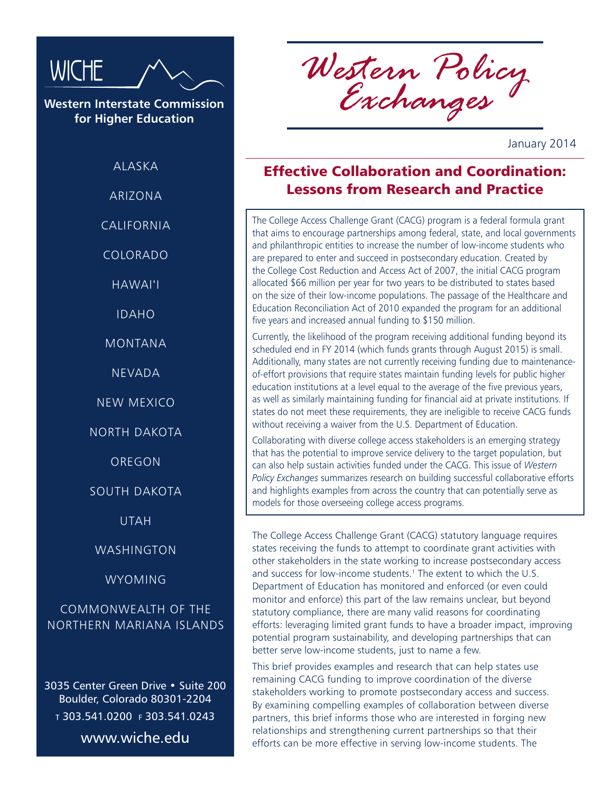

**Western Interstate Commission for Higher Education**

ALASKA

ARIZONA

**CALIFORNIA** 

COLORADO

HAWAI'I

IDAHO

MONTANA

NEVADA

NEW MEXICO

NORTH DAKOTA

OREGON

SOUTH DAKOTA

UTAH

WASHINGTON

WYOMING

COMMONWEALTH OF THE NORTHERN MARIANA ISLANDS

3035 Center Green Drive • Suite 200 Boulder, Colorado 80301-2204 <sup>t</sup> 303.541.0200 f 303.541.0243 www.wiche.edu

*Western Policy Exchanges*

January 2014

## Effective Collaboration and Coordination: Lessons from Research and Practice

The College Access Challenge Grant (CACG) program is a federal formula grant that aims to encourage partnerships among federal, state, and local governments and philanthropic entities to increase the number of low-income students who are prepared to enter and succeed in postsecondary education. Created by the College Cost Reduction and Access Act of 2007, the initial CACG program allocated \$66 million per year for two years to be distributed to states based on the size of their low-income populations. The passage of the Healthcare and Education Reconciliation Act of 2010 expanded the program for an additional five years and increased annual funding to \$150 million.

Currently, the likelihood of the program receiving additional funding beyond its scheduled end in FY 2014 (which funds grants through August 2015) is small. Additionally, many states are not currently receiving funding due to maintenanceof-effort provisions that require states maintain funding levels for public higher education institutions at a level equal to the average of the five previous years, as well as similarly maintaining funding for financial aid at private institutions. If states do not meet these requirements, they are ineligible to receive CACG funds without receiving a waiver from the U.S. Department of Education.

Collaborating with diverse college access stakeholders is an emerging strategy that has the potential to improve service delivery to the target population, but can also help sustain activities funded under the CACG. This issue of *Western Policy Exchanges* summarizes research on building successful collaborative efforts and highlights examples from across the country that can potentially serve as models for those overseeing college access programs.

The College Access Challenge Grant (CACG) statutory language requires states receiving the funds to attempt to coordinate grant activities with other stakeholders in the state working to increase postsecondary access and success for low-income students.<sup>1</sup> The extent to which the U.S. Department of Education has monitored and enforced (or even could monitor and enforce) this part of the law remains unclear, but beyond statutory compliance, there are many valid reasons for coordinating efforts: leveraging limited grant funds to have a broader impact, improving potential program sustainability, and developing partnerships that can better serve low-income students, just to name a few.

This brief provides examples and research that can help states use remaining CACG funding to improve coordination of the diverse stakeholders working to promote postsecondary access and success. By examining compelling examples of collaboration between diverse partners, this brief informs those who are interested in forging new relationships and strengthening current partnerships so that their efforts can be more effective in serving low-income students. The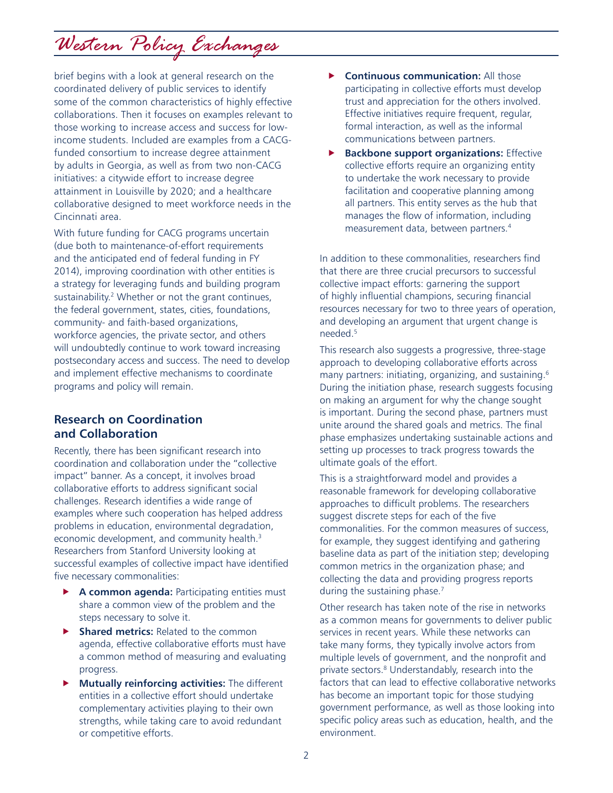*Western Policy Exchanges*

brief begins with a look at general research on the coordinated delivery of public services to identify some of the common characteristics of highly effective collaborations. Then it focuses on examples relevant to those working to increase access and success for lowincome students. Included are examples from a CACGfunded consortium to increase degree attainment by adults in Georgia, as well as from two non-CACG initiatives: a citywide effort to increase degree attainment in Louisville by 2020; and a healthcare collaborative designed to meet workforce needs in the Cincinnati area.

With future funding for CACG programs uncertain (due both to maintenance-of-effort requirements and the anticipated end of federal funding in FY 2014), improving coordination with other entities is a strategy for leveraging funds and building program sustainability.<sup>2</sup> Whether or not the grant continues, the federal government, states, cities, foundations, community- and faith-based organizations, workforce agencies, the private sector, and others will undoubtedly continue to work toward increasing postsecondary access and success. The need to develop and implement effective mechanisms to coordinate programs and policy will remain.

## **Research on Coordination and Collaboration**

Recently, there has been significant research into coordination and collaboration under the "collective impact" banner. As a concept, it involves broad collaborative efforts to address significant social challenges. Research identifies a wide range of examples where such cooperation has helped address problems in education, environmental degradation, economic development, and community health.<sup>3</sup> Researchers from Stanford University looking at successful examples of collective impact have identified five necessary commonalities:

- A common agenda: Participating entities must share a common view of the problem and the steps necessary to solve it.
- **Shared metrics:** Related to the common agenda, effective collaborative efforts must have a common method of measuring and evaluating progress.
- **Mutually reinforcing activities:** The different entities in a collective effort should undertake complementary activities playing to their own strengths, while taking care to avoid redundant or competitive efforts.
- **F** Continuous communication: All those participating in collective efforts must develop trust and appreciation for the others involved. Effective initiatives require frequent, regular, formal interaction, as well as the informal communications between partners.
- **Backbone support organizations: Effective** collective efforts require an organizing entity to undertake the work necessary to provide facilitation and cooperative planning among all partners. This entity serves as the hub that manages the flow of information, including measurement data, between partners.4

In addition to these commonalities, researchers find that there are three crucial precursors to successful collective impact efforts: garnering the support of highly influential champions, securing financial resources necessary for two to three years of operation, and developing an argument that urgent change is needed.5

This research also suggests a progressive, three-stage approach to developing collaborative efforts across many partners: initiating, organizing, and sustaining.<sup>6</sup> During the initiation phase, research suggests focusing on making an argument for why the change sought is important. During the second phase, partners must unite around the shared goals and metrics. The final phase emphasizes undertaking sustainable actions and setting up processes to track progress towards the ultimate goals of the effort.

This is a straightforward model and provides a reasonable framework for developing collaborative approaches to difficult problems. The researchers suggest discrete steps for each of the five commonalities. For the common measures of success, for example, they suggest identifying and gathering baseline data as part of the initiation step; developing common metrics in the organization phase; and collecting the data and providing progress reports during the sustaining phase.<sup>7</sup>

Other research has taken note of the rise in networks as a common means for governments to deliver public services in recent years. While these networks can take many forms, they typically involve actors from multiple levels of government, and the nonprofit and private sectors.<sup>8</sup> Understandably, research into the factors that can lead to effective collaborative networks has become an important topic for those studying government performance, as well as those looking into specific policy areas such as education, health, and the environment.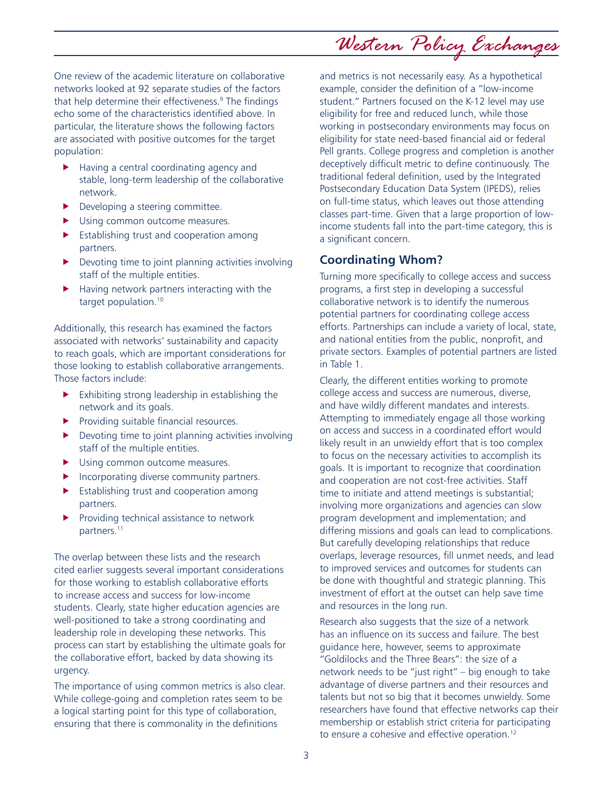One review of the academic literature on collaborative networks looked at 92 separate studies of the factors that help determine their effectiveness.<sup>9</sup> The findings echo some of the characteristics identified above. In particular, the literature shows the following factors are associated with positive outcomes for the target population:

- Having a central coordinating agency and stable, long-term leadership of the collaborative network.
- $\blacktriangleright$  Developing a steering committee.
- $\blacktriangleright$  Using common outcome measures.
- $\blacktriangleright$  Establishing trust and cooperation among partners.
- $\blacktriangleright$  Devoting time to joint planning activities involving staff of the multiple entities.
- $\blacktriangleright$  Having network partners interacting with the target population.<sup>10</sup>

Additionally, this research has examined the factors associated with networks' sustainability and capacity to reach goals, which are important considerations for those looking to establish collaborative arrangements. Those factors include:

- $\blacktriangleright$  Exhibiting strong leadership in establishing the network and its goals.
- $\blacktriangleright$  Providing suitable financial resources.
- $\blacktriangleright$  Devoting time to joint planning activities involving staff of the multiple entities.
- Using common outcome measures.
- $\blacktriangleright$  Incorporating diverse community partners.
- $\blacktriangleright$  Establishing trust and cooperation among partners.
- Providing technical assistance to network partners.11

The overlap between these lists and the research cited earlier suggests several important considerations for those working to establish collaborative efforts to increase access and success for low-income students. Clearly, state higher education agencies are well-positioned to take a strong coordinating and leadership role in developing these networks. This process can start by establishing the ultimate goals for the collaborative effort, backed by data showing its urgency.

The importance of using common metrics is also clear. While college-going and completion rates seem to be a logical starting point for this type of collaboration, ensuring that there is commonality in the definitions

and metrics is not necessarily easy. As a hypothetical example, consider the definition of a "low-income student." Partners focused on the K-12 level may use eligibility for free and reduced lunch, while those working in postsecondary environments may focus on eligibility for state need-based financial aid or federal Pell grants. College progress and completion is another deceptively difficult metric to define continuously. The traditional federal definition, used by the Integrated Postsecondary Education Data System (IPEDS), relies on full-time status, which leaves out those attending classes part-time. Given that a large proportion of lowincome students fall into the part-time category, this is a significant concern.

*Western Policy Exchanges*

## **Coordinating Whom?**

Turning more specifically to college access and success programs, a first step in developing a successful collaborative network is to identify the numerous potential partners for coordinating college access efforts. Partnerships can include a variety of local, state, and national entities from the public, nonprofit, and private sectors. Examples of potential partners are listed in Table 1.

Clearly, the different entities working to promote college access and success are numerous, diverse, and have wildly different mandates and interests. Attempting to immediately engage all those working on access and success in a coordinated effort would likely result in an unwieldy effort that is too complex to focus on the necessary activities to accomplish its goals. It is important to recognize that coordination and cooperation are not cost-free activities. Staff time to initiate and attend meetings is substantial; involving more organizations and agencies can slow program development and implementation; and differing missions and goals can lead to complications. But carefully developing relationships that reduce overlaps, leverage resources, fill unmet needs, and lead to improved services and outcomes for students can be done with thoughtful and strategic planning. This investment of effort at the outset can help save time and resources in the long run.

Research also suggests that the size of a network has an influence on its success and failure. The best guidance here, however, seems to approximate "Goldilocks and the Three Bears": the size of a network needs to be "just right" – big enough to take advantage of diverse partners and their resources and talents but not so big that it becomes unwieldy. Some researchers have found that effective networks cap their membership or establish strict criteria for participating to ensure a cohesive and effective operation.12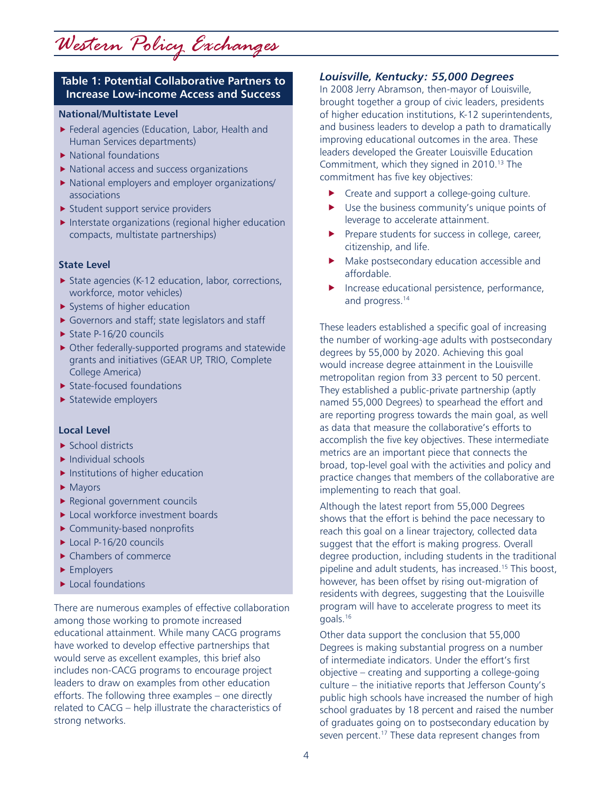#### **Table 1: Potential Collaborative Partners to Increase Low-income Access and Success**

#### **National/Multistate Level**

- $\blacktriangleright$  Federal agencies (Education, Labor, Health and Human Services departments)
- $\blacktriangleright$  National foundations
- $\blacktriangleright$  National access and success organizations
- $\blacktriangleright$  National employers and employer organizations/ associations
- $\blacktriangleright$  Student support service providers
- $\blacktriangleright$  Interstate organizations (regional higher education compacts, multistate partnerships)

#### **State Level**

- $\triangleright$  State agencies (K-12 education, labor, corrections, workforce, motor vehicles)
- $\blacktriangleright$  Systems of higher education
- $\blacktriangleright$  Governors and staff; state legislators and staff
- $\triangleright$  State P-16/20 councils
- $\triangleright$  Other federally-supported programs and statewide grants and initiatives (GEAR UP, TRIO, Complete College America)
- $\blacktriangleright$  State-focused foundations
- $\blacktriangleright$  Statewide employers

#### **Local Level**

- $\blacktriangleright$  School districts
- $\blacktriangleright$  Individual schools
- $\blacktriangleright$  Institutions of higher education
- $\blacktriangleright$  Mayors
- $\blacktriangleright$  Regional government councils
- $\blacktriangleright$  Local workforce investment boards
- $\blacktriangleright$  Community-based nonprofits
- $\blacktriangleright$  Local P-16/20 councils
- $\blacktriangleright$  Chambers of commerce
- $\blacktriangleright$  Employers
- $\blacktriangleright$  Local foundations

There are numerous examples of effective collaboration among those working to promote increased educational attainment. While many CACG programs have worked to develop effective partnerships that would serve as excellent examples, this brief also includes non-CACG programs to encourage project leaders to draw on examples from other education efforts. The following three examples – one directly related to CACG – help illustrate the characteristics of strong networks.

#### *Louisville, Kentucky: 55,000 Degrees*

In 2008 Jerry Abramson, then-mayor of Louisville, brought together a group of civic leaders, presidents of higher education institutions, K-12 superintendents, and business leaders to develop a path to dramatically improving educational outcomes in the area. These leaders developed the Greater Louisville Education Commitment, which they signed in 2010.13 The commitment has five key objectives:

- $\blacktriangleright$  Create and support a college-going culture.
- $\blacktriangleright$  Use the business community's unique points of leverage to accelerate attainment.
- $\blacktriangleright$  Prepare students for success in college, career, citizenship, and life.
- $\blacktriangleright$  Make postsecondary education accessible and affordable.
- $\blacktriangleright$  Increase educational persistence, performance, and progress.<sup>14</sup>

These leaders established a specific goal of increasing the number of working-age adults with postsecondary degrees by 55,000 by 2020. Achieving this goal would increase degree attainment in the Louisville metropolitan region from 33 percent to 50 percent. They established a public-private partnership (aptly named 55,000 Degrees) to spearhead the effort and are reporting progress towards the main goal, as well as data that measure the collaborative's efforts to accomplish the five key objectives. These intermediate metrics are an important piece that connects the broad, top-level goal with the activities and policy and practice changes that members of the collaborative are implementing to reach that goal.

Although the latest report from 55,000 Degrees shows that the effort is behind the pace necessary to reach this goal on a linear trajectory, collected data suggest that the effort is making progress. Overall degree production, including students in the traditional pipeline and adult students, has increased.15 This boost, however, has been offset by rising out-migration of residents with degrees, suggesting that the Louisville program will have to accelerate progress to meet its goals.16

Other data support the conclusion that 55,000 Degrees is making substantial progress on a number of intermediate indicators. Under the effort's first objective – creating and supporting a college-going culture – the initiative reports that Jefferson County's public high schools have increased the number of high school graduates by 18 percent and raised the number of graduates going on to postsecondary education by seven percent.<sup>17</sup> These data represent changes from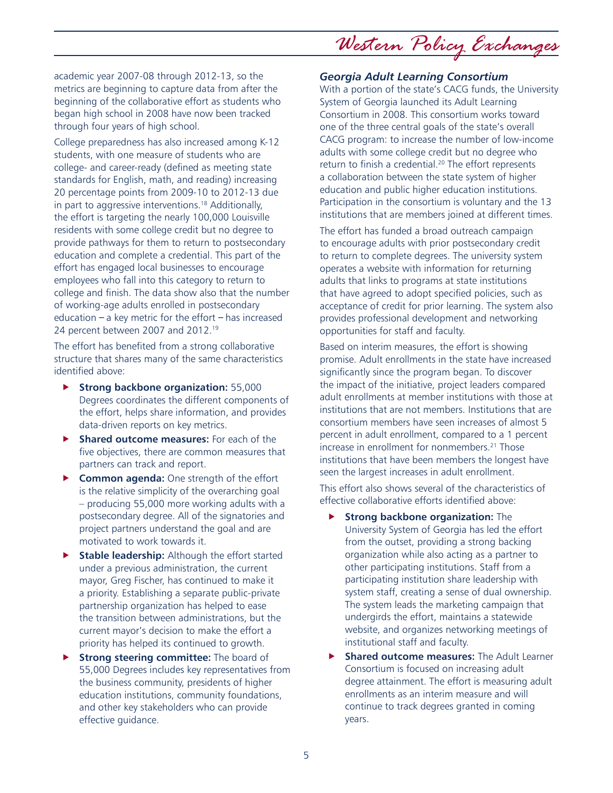*Western Policy Exchanges*

academic year 2007-08 through 2012-13, so the metrics are beginning to capture data from after the beginning of the collaborative effort as students who began high school in 2008 have now been tracked through four years of high school.

College preparedness has also increased among K-12 students, with one measure of students who are college- and career-ready (defined as meeting state standards for English, math, and reading) increasing 20 percentage points from 2009-10 to 2012-13 due in part to aggressive interventions.18 Additionally, the effort is targeting the nearly 100,000 Louisville residents with some college credit but no degree to provide pathways for them to return to postsecondary education and complete a credential. This part of the effort has engaged local businesses to encourage employees who fall into this category to return to college and finish. The data show also that the number of working-age adults enrolled in postsecondary education  $-$  a key metric for the effort  $-$  has increased 24 percent between 2007 and 2012.19

The effort has benefited from a strong collaborative structure that shares many of the same characteristics identified above:

- **F** Strong backbone organization: 55,000 Degrees coordinates the different components of the effort, helps share information, and provides data-driven reports on key metrics.
- **Fig. 3** Shared outcome measures: For each of the five objectives, there are common measures that partners can track and report.
- **Common agenda:** One strength of the effort is the relative simplicity of the overarching goal – producing 55,000 more working adults with a postsecondary degree. All of the signatories and project partners understand the goal and are motivated to work towards it.
- **Stable leadership:** Although the effort started under a previous administration, the current mayor, Greg Fischer, has continued to make it a priority. Establishing a separate public-private partnership organization has helped to ease the transition between administrations, but the current mayor's decision to make the effort a priority has helped its continued to growth.
- **Strong steering committee:** The board of 55,000 Degrees includes key representatives from the business community, presidents of higher education institutions, community foundations, and other key stakeholders who can provide effective guidance.

### *Georgia Adult Learning Consortium*

With a portion of the state's CACG funds, the University System of Georgia launched its Adult Learning Consortium in 2008. This consortium works toward one of the three central goals of the state's overall CACG program: to increase the number of low-income adults with some college credit but no degree who return to finish a credential.<sup>20</sup> The effort represents a collaboration between the state system of higher education and public higher education institutions. Participation in the consortium is voluntary and the 13 institutions that are members joined at different times.

The effort has funded a broad outreach campaign to encourage adults with prior postsecondary credit to return to complete degrees. The university system operates a website with information for returning adults that links to programs at state institutions that have agreed to adopt specified policies, such as acceptance of credit for prior learning. The system also provides professional development and networking opportunities for staff and faculty.

Based on interim measures, the effort is showing promise. Adult enrollments in the state have increased significantly since the program began. To discover the impact of the initiative, project leaders compared adult enrollments at member institutions with those at institutions that are not members. Institutions that are consortium members have seen increases of almost 5 percent in adult enrollment, compared to a 1 percent increase in enrollment for nonmembers.<sup>21</sup> Those institutions that have been members the longest have seen the largest increases in adult enrollment.

This effort also shows several of the characteristics of effective collaborative efforts identified above:

- **Strong backbone organization:** The University System of Georgia has led the effort from the outset, providing a strong backing organization while also acting as a partner to other participating institutions. Staff from a participating institution share leadership with system staff, creating a sense of dual ownership. The system leads the marketing campaign that undergirds the effort, maintains a statewide website, and organizes networking meetings of institutional staff and faculty.
- **Shared outcome measures:** The Adult Learner Consortium is focused on increasing adult degree attainment. The effort is measuring adult enrollments as an interim measure and will continue to track degrees granted in coming years.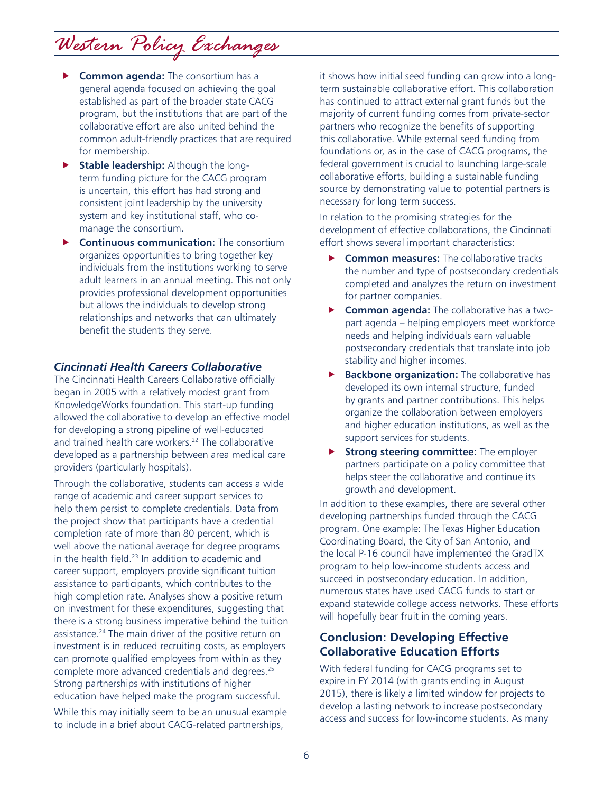# *Western Policy Exchanges*

- **F** Common agenda: The consortium has a general agenda focused on achieving the goal established as part of the broader state CACG program, but the institutions that are part of the collaborative effort are also united behind the common adult-friendly practices that are required for membership.
- **Fable leadership:** Although the longterm funding picture for the CACG program is uncertain, this effort has had strong and consistent joint leadership by the university system and key institutional staff, who comanage the consortium.
- **F** Continuous communication: The consortium organizes opportunities to bring together key individuals from the institutions working to serve adult learners in an annual meeting. This not only provides professional development opportunities but allows the individuals to develop strong relationships and networks that can ultimately benefit the students they serve.

#### *Cincinnati Health Careers Collaborative*

The Cincinnati Health Careers Collaborative officially began in 2005 with a relatively modest grant from KnowledgeWorks foundation. This start-up funding allowed the collaborative to develop an effective model for developing a strong pipeline of well-educated and trained health care workers.<sup>22</sup> The collaborative developed as a partnership between area medical care providers (particularly hospitals).

Through the collaborative, students can access a wide range of academic and career support services to help them persist to complete credentials. Data from the project show that participants have a credential completion rate of more than 80 percent, which is well above the national average for degree programs in the health field. $23$  In addition to academic and career support, employers provide significant tuition assistance to participants, which contributes to the high completion rate. Analyses show a positive return on investment for these expenditures, suggesting that there is a strong business imperative behind the tuition assistance.24 The main driver of the positive return on investment is in reduced recruiting costs, as employers can promote qualified employees from within as they complete more advanced credentials and degrees.25 Strong partnerships with institutions of higher education have helped make the program successful.

While this may initially seem to be an unusual example to include in a brief about CACG-related partnerships,

it shows how initial seed funding can grow into a longterm sustainable collaborative effort. This collaboration has continued to attract external grant funds but the majority of current funding comes from private-sector partners who recognize the benefits of supporting this collaborative. While external seed funding from foundations or, as in the case of CACG programs, the federal government is crucial to launching large-scale collaborative efforts, building a sustainable funding source by demonstrating value to potential partners is necessary for long term success.

In relation to the promising strategies for the development of effective collaborations, the Cincinnati effort shows several important characteristics:

- **F** Common measures: The collaborative tracks the number and type of postsecondary credentials completed and analyzes the return on investment for partner companies.
- **F** Common agenda: The collaborative has a twopart agenda – helping employers meet workforce needs and helping individuals earn valuable postsecondary credentials that translate into job stability and higher incomes.
- **Backbone organization:** The collaborative has developed its own internal structure, funded by grants and partner contributions. This helps organize the collaboration between employers and higher education institutions, as well as the support services for students.
- **Strong steering committee:** The employer partners participate on a policy committee that helps steer the collaborative and continue its growth and development.

In addition to these examples, there are several other developing partnerships funded through the CACG program. One example: The Texas Higher Education Coordinating Board, the City of San Antonio, and the local P-16 council have implemented the GradTX program to help low-income students access and succeed in postsecondary education. In addition, numerous states have used CACG funds to start or expand statewide college access networks. These efforts will hopefully bear fruit in the coming years.

### **Conclusion: Developing Effective Collaborative Education Efforts**

With federal funding for CACG programs set to expire in FY 2014 (with grants ending in August 2015), there is likely a limited window for projects to develop a lasting network to increase postsecondary access and success for low-income students. As many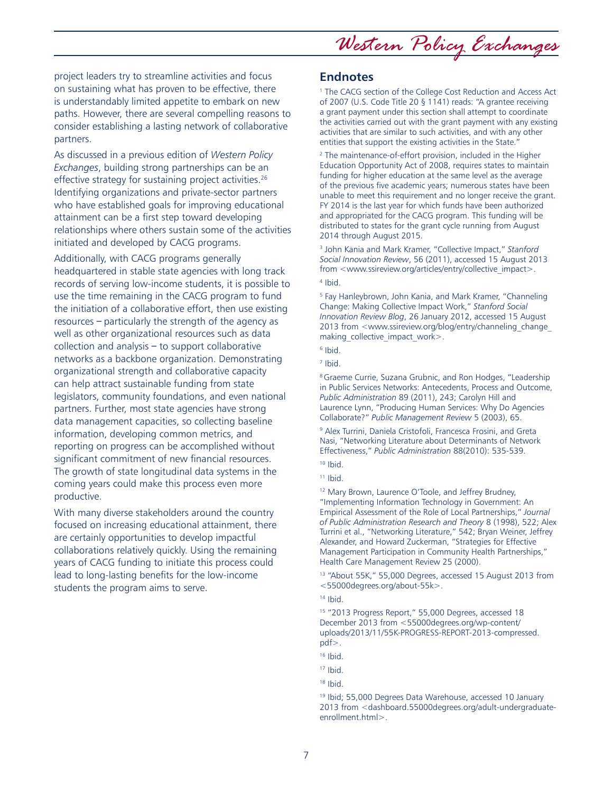*Western Policy Exchanges*

project leaders try to streamline activities and focus on sustaining what has proven to be effective, there is understandably limited appetite to embark on new paths. However, there are several compelling reasons to consider establishing a lasting network of collaborative partners.

As discussed in a previous edition of *Western Policy Exchanges*, building strong partnerships can be an effective strategy for sustaining project activities.<sup>26</sup> Identifying organizations and private-sector partners who have established goals for improving educational attainment can be a first step toward developing relationships where others sustain some of the activities initiated and developed by CACG programs.

Additionally, with CACG programs generally headquartered in stable state agencies with long track records of serving low-income students, it is possible to use the time remaining in the CACG program to fund the initiation of a collaborative effort, then use existing resources – particularly the strength of the agency as well as other organizational resources such as data collection and analysis – to support collaborative networks as a backbone organization. Demonstrating organizational strength and collaborative capacity can help attract sustainable funding from state legislators, community foundations, and even national partners. Further, most state agencies have strong data management capacities, so collecting baseline information, developing common metrics, and reporting on progress can be accomplished without significant commitment of new financial resources. The growth of state longitudinal data systems in the coming years could make this process even more productive.

With many diverse stakeholders around the country focused on increasing educational attainment, there are certainly opportunities to develop impactful collaborations relatively quickly. Using the remaining years of CACG funding to initiate this process could lead to long-lasting benefits for the low-income students the program aims to serve.

#### **Endnotes**

<sup>1</sup> The CACG section of the College Cost Reduction and Access Act of 2007 (U.S. Code Title 20 § 1141) reads: "A grantee receiving a grant payment under this section shall attempt to coordinate the activities carried out with the grant payment with any existing activities that are similar to such activities, and with any other entities that support the existing activities in the State."

2 The maintenance-of-effort provision, included in the Higher Education Opportunity Act of 2008, requires states to maintain funding for higher education at the same level as the average of the previous five academic years; numerous states have been unable to meet this requirement and no longer receive the grant. FY 2014 is the last year for which funds have been authorized and appropriated for the CACG program. This funding will be distributed to states for the grant cycle running from August 2014 through August 2015.

3 John Kania and Mark Kramer, "Collective Impact," *Stanford Social Innovation Review*, 56 (2011), accessed 15 August 2013 from <www.ssireview.org/articles/entry/collective\_impact>. 4 Ibid.

<sup>5</sup> Fay Hanleybrown, John Kania, and Mark Kramer, "Channeling Change: Making Collective Impact Work," *Stanford Social Innovation Review Blog*, 26 January 2012, accessed 15 August 2013 from <www.ssireview.org/blog/entry/channeling\_change\_ making\_collective\_impact\_work>.

6 Ibid.

7 Ibid.

<sup>8</sup> Graeme Currie, Suzana Grubnic, and Ron Hodges, "Leadership in Public Services Networks: Antecedents, Process and Outcome, *Public Administration* 89 (2011), 243; Carolyn Hill and Laurence Lynn, "Producing Human Services: Why Do Agencies Collaborate?" *Public Management Review* 5 (2003), 65.

9 Alex Turrini, Daniela Cristofoli, Francesca Frosini, and Greta Nasi, "Networking Literature about Determinants of Network Effectiveness," *Public Administration* 88(2010): 535-539.

 $11$  Ibid.

12 Mary Brown, Laurence O'Toole, and Jeffrey Brudney, "Implementing Information Technology in Government: An Empirical Assessment of the Role of Local Partnerships," *Journal of Public Administration Research and Theory* 8 (1998), 522; Alex Turrini et al., "Networking Literature," 542; Bryan Weiner, Jeffrey Alexander, and Howard Zuckerman, "Strategies for Effective Management Participation in Community Health Partnerships," Health Care Management Review 25 (2000).

13 "About 55K," 55,000 Degrees, accessed 15 August 2013 from <55000degrees.org/about-55k>.

15 "2013 Progress Report," 55,000 Degrees, accessed 18 December 2013 from <55000degrees.org/wp-content/ uploads/2013/11/55K-PROGRESS-REPORT-2013-compressed. pdf>.

19 Ibid; 55,000 Degrees Data Warehouse, accessed 10 January 2013 from <dashboard.55000degrees.org/adult-undergraduateenrollment.html>.

 $10$  Ibid.

 $14$  Ibid.

<sup>16</sup> Ibid.

<sup>17</sup> Ibid.

<sup>18</sup> Ibid.